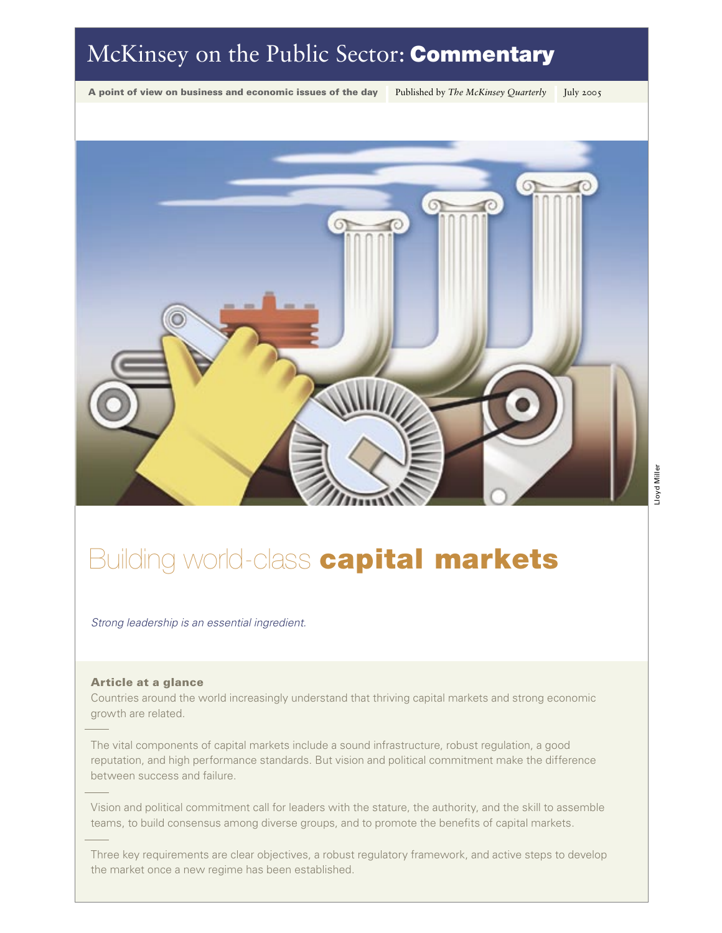## McKinsey on the Public Sector: **Commentary**

A point of view on business and economic issues of the day Published by *The McKinsey Quarterly* July 2005



# **Building world-class capital markets**

Strong leadership is an essential ingredient.

#### Article at a glance

Countries around the world increasingly understand that thriving capital markets and strong economic growth are related.

The vital components of capital markets include a sound infrastructure, robust regulation, a good reputation, and high performance standards. But vision and political commitment make the difference between success and failure.

Vision and political commitment call for leaders with the stature, the authority, and the skill to assemble teams, to build consensus among diverse groups, and to promote the benefits of capital markets.

Three key requirements are clear objectives, a robust regulatory framework, and active steps to develop the market once a new regime has been established.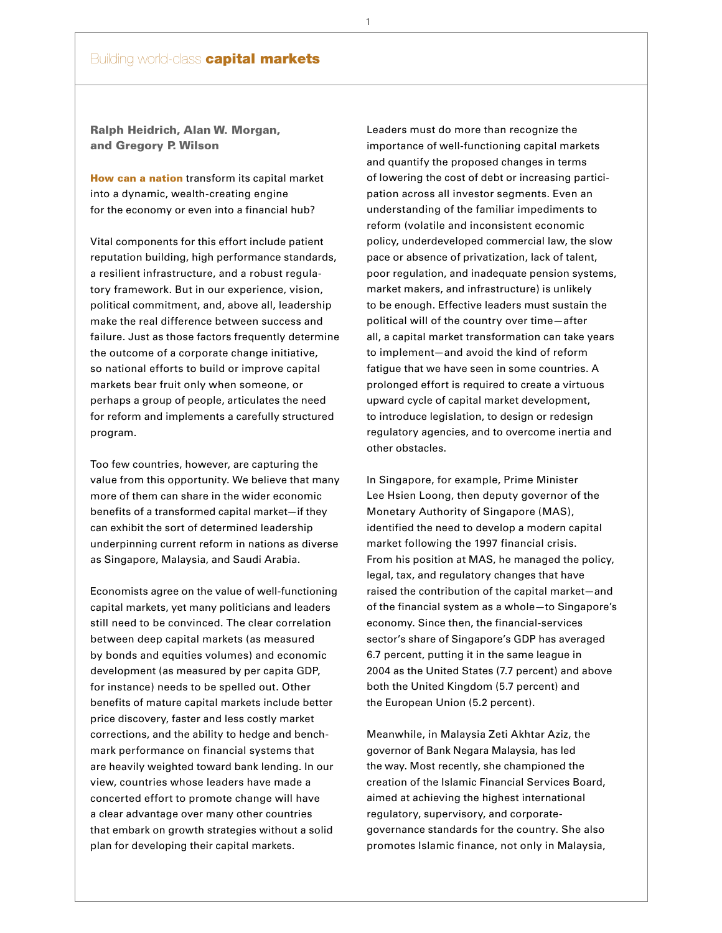## **Building world-class capital markets**

Ralph Heidrich, Alan W. Morgan, and Gregory P. Wilson

How can a nation transform its capital market into a dynamic, wealth-creating engine for the economy or even into a financial hub?

Vital components for this effort include patient reputation building, high performance standards, a resilient infrastructure, and a robust regulatory framework. But in our experience, vision, political commitment, and, above all, leadership make the real difference between success and failure. Just as those factors frequently determine the outcome of a corporate change initiative, so national efforts to build or improve capital markets bear fruit only when someone, or perhaps a group of people, articulates the need for reform and implements a carefully structured program.

Too few countries, however, are capturing the value from this opportunity. We believe that many more of them can share in the wider economic benefits of a transformed capital market—if they can exhibit the sort of determined leadership underpinning current reform in nations as diverse as Singapore, Malaysia, and Saudi Arabia.

Economists agree on the value of well-functioning capital markets, yet many politicians and leaders still need to be convinced. The clear correlation between deep capital markets (as measured by bonds and equities volumes) and economic development (as measured by per capita GDP, for instance) needs to be spelled out. Other benefits of mature capital markets include better price discovery, faster and less costly market corrections, and the ability to hedge and benchmark performance on financial systems that are heavily weighted toward bank lending. In our view, countries whose leaders have made a concerted effort to promote change will have a clear advantage over many other countries that embark on growth strategies without a solid plan for developing their capital markets.

Leaders must do more than recognize the importance of well-functioning capital markets and quantify the proposed changes in terms of lowering the cost of debt or increasing participation across all investor segments. Even an understanding of the familiar impediments to reform (volatile and inconsistent economic policy, underdeveloped commercial law, the slow pace or absence of privatization, lack of talent, poor regulation, and inadequate pension systems, market makers, and infrastructure) is unlikely to be enough. Effective leaders must sustain the political will of the country over time—after all, a capital market transformation can take years to implement—and avoid the kind of reform fatigue that we have seen in some countries. A prolonged effort is required to create a virtuous upward cycle of capital market development, to introduce legislation, to design or redesign regulatory agencies, and to overcome inertia and other obstacles.

In Singapore, for example, Prime Minister Lee Hsien Loong, then deputy governor of the Monetary Authority of Singapore (MAS), identified the need to develop a modern capital market following the 1997 financial crisis. From his position at MAS, he managed the policy, legal, tax, and regulatory changes that have raised the contribution of the capital market—and of the financial system as a whole—to Singapore's economy. Since then, the financial-services sector's share of Singapore's GDP has averaged 6.7 percent, putting it in the same league in 2004 as the United States (7.7 percent) and above both the United Kingdom (5.7 percent) and the European Union (5.2 percent).

Meanwhile, in Malaysia Zeti Akhtar Aziz, the governor of Bank Negara Malaysia, has led the way. Most recently, she championed the creation of the Islamic Financial Services Board, aimed at achieving the highest international regulatory, supervisory, and corporategovernance standards for the country. She also promotes Islamic finance, not only in Malaysia,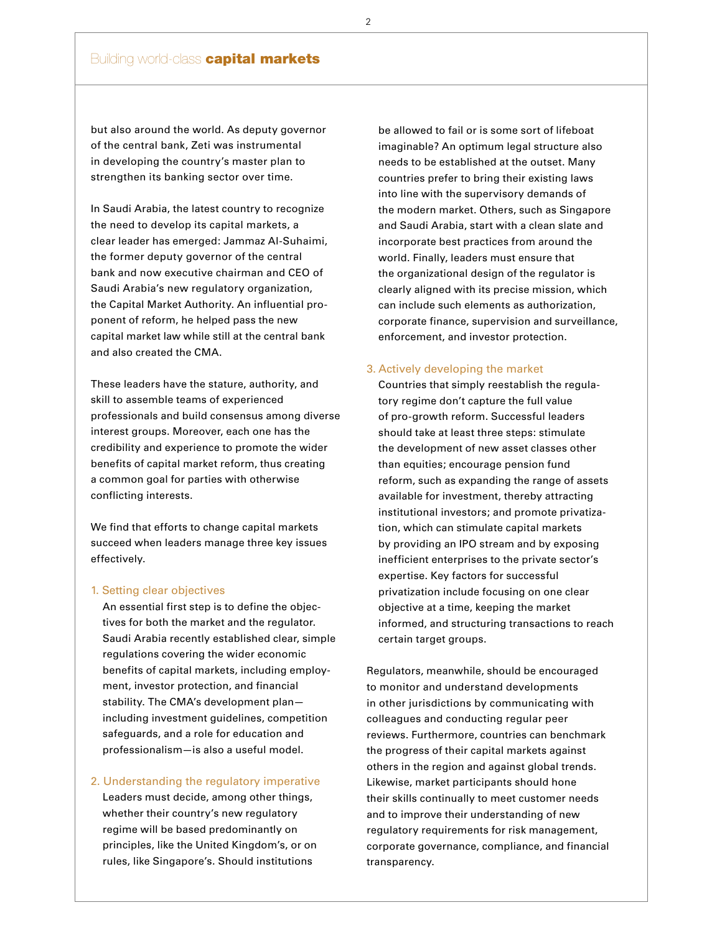## **Building world-class capital markets**

but also around the world. As deputy governor of the central bank, Zeti was instrumental in developing the country's master plan to strengthen its banking sector over time.

In Saudi Arabia, the latest country to recognize the need to develop its capital markets, a clear leader has emerged: Jammaz Al-Suhaimi, the former deputy governor of the central bank and now executive chairman and CEO of Saudi Arabia's new regulatory organization, the Capital Market Authority. An influential proponent of reform, he helped pass the new capital market law while still at the central bank and also created the CMA.

These leaders have the stature, authority, and skill to assemble teams of experienced professionals and build consensus among diverse interest groups. Moreover, each one has the credibility and experience to promote the wider benefits of capital market reform, thus creating a common goal for parties with otherwise conflicting interests.

We find that efforts to change capital markets succeed when leaders manage three key issues effectively.

#### 1. Setting clear objectives

 An essential first step is to define the objec tives for both the market and the regulator. Saudi Arabia recently established clear, simple regulations covering the wider economic benefits of capital markets, including employ ment, investor protection, and financial stability. The CMA's development plan including investment guidelines, competition safeguards, and a role for education and professionalism—is also a useful model.

### 2. Understanding the regulatory imperative

 Leaders must decide, among other things, whether their country's new regulatory regime will be based predominantly on principles, like the United Kingdom's, or on rules, like Singapore's. Should institutions

 be allowed to fail or is some sort of lifeboat imaginable? An optimum legal structure also needs to be established at the outset. Many countries prefer to bring their existing laws into line with the supervisory demands of the modern market. Others, such as Singapore and Saudi Arabia, start with a clean slate and incorporate best practices from around the world. Finally, leaders must ensure that the organizational design of the regulator is clearly aligned with its precise mission, which can include such elements as authorization, corporate finance, supervision and surveillance, enforcement, and investor protection.

#### 3. Actively developing the market

 Countries that simply reestablish the regula tory regime don't capture the full value of pro-growth reform. Successful leaders should take at least three steps: stimulate the development of new asset classes other than equities; encourage pension fund reform, such as expanding the range of assets available for investment, thereby attracting institutional investors; and promote privatiza tion, which can stimulate capital markets by providing an IPO stream and by exposing inefficient enterprises to the private sector's expertise. Key factors for successful privatization include focusing on one clear objective at a time, keeping the market informed, and structuring transactions to reach certain target groups.

Regulators, meanwhile, should be encouraged to monitor and understand developments in other jurisdictions by communicating with colleagues and conducting regular peer reviews. Furthermore, countries can benchmark the progress of their capital markets against others in the region and against global trends. Likewise, market participants should hone their skills continually to meet customer needs and to improve their understanding of new regulatory requirements for risk management, corporate governance, compliance, and financial transparency.